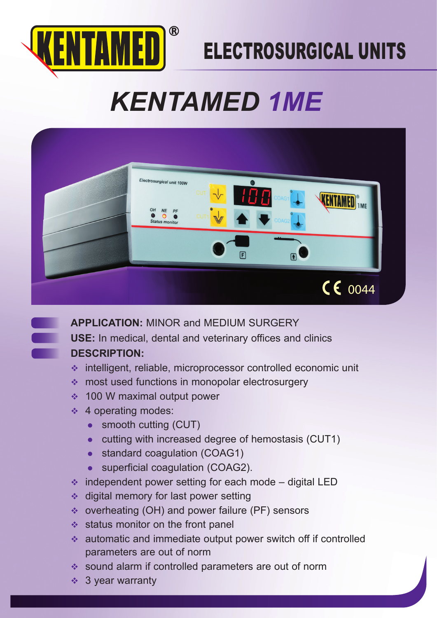

## ELECTROSURGICAL UNITS

# *KENTAMED 1ME*



**APPLICATION:** MINOR and MEDIUM SURGERY **USE:** In medical, dental and veterinary offices and clinics **DESCRIPTION:**

- intelligent, reliable, microprocessor controlled economic unit
- most used functions in monopolar electrosurgery
- ◆ 100 W maximal output power
- $\div$  4 operating modes:
	- smooth cutting (CUT)
	- $\bullet$  cutting with increased degree of hemostasis (CUT1)
	- standard coagulation (COAG1)
	- superficial coagulation (COAG2).
- $\cdot$  independent power setting for each mode digital LED
- $\triangleleft$  digital memory for last power setting
- overheating (OH) and power failure (PF) sensors
- $\triangleleft$  status monitor on the front panel
- automatic and immediate output power switch off if controlled parameters are out of norm
- sound alarm if controlled parameters are out of norm
- $\div$  3 year warranty